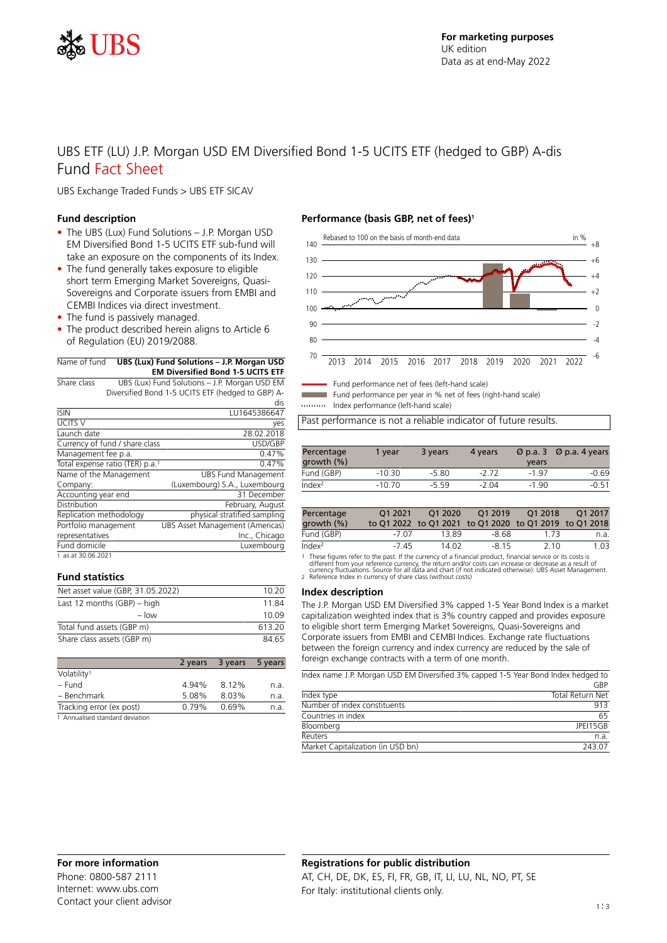

# UBS ETF (LU) J.P. Morgan USD EM Diversified Bond 1-5 UCITS ETF (hedged to GBP) A-dis Fund Fact Sheet

UBS Exchange Traded Funds > UBS ETF SICAV

### **Fund description**

- The UBS (Lux) Fund Solutions J.P. Morgan USD EM Diversified Bond 1-5 UCITS ETF sub-fund will take an exposure on the components of its Index.
- The fund generally takes exposure to eligible short term Emerging Market Sovereigns, Quasi-Sovereigns and Corporate issuers from EMBI and CEMBI Indices via direct investment.
- The fund is passively managed.
- The product described herein aligns to Article 6 of Regulation (EU) 2019/2088.

| Name of fund | UBS (Lux) Fund Solutions - J.P. Morgan USD |
|--------------|--------------------------------------------|
|              | <b>EM Diversified Bond 1-5 UCITS ETF</b>   |
|              |                                            |

Share class UBS (Lux) Fund Solutions – J.P. Morgan USD EM Diversified Bond 1-5 UCITS ETF (hedged to GBP) A-

|                                             | dis                             |
|---------------------------------------------|---------------------------------|
| <b>ISIN</b>                                 | LU1645386647                    |
| <b>UCITS V</b>                              | yes                             |
| Launch date                                 | 28.02.2018                      |
| Currency of fund / share class              | USD/GBP                         |
| Management fee p.a.                         | 0.47%                           |
| Total expense ratio (TER) p.a. <sup>1</sup> | 0.47%                           |
| Name of the Management                      | <b>UBS Fund Management</b>      |
| Company:                                    | (Luxembourg) S.A., Luxembourg   |
| Accounting year end                         | 31 December                     |
| Distribution                                | February, August                |
| Replication methodology                     | physical stratified sampling    |
| Portfolio management                        | UBS Asset Management (Americas) |
| representatives                             | Inc., Chicago                   |
| Fund domicile                               | Luxemboura                      |
| 1 as at 30.06.2021                          |                                 |

# **Fund statistics**

| Net asset value (GBP, 31.05.2022) | 10.20  |
|-----------------------------------|--------|
| Last 12 months $(GBP)$ – high     | 1184   |
| $-$ low                           | 10.09  |
| Total fund assets (GBP m)         | 613 20 |
| Share class assets (GBP m)        | 84 65  |
|                                   |        |

|                                 |       | 2 years 3 years 5 years |      |
|---------------------------------|-------|-------------------------|------|
| Volatility <sup>1</sup>         |       |                         |      |
| – Fund                          | 4.94% | 8.12%                   | n.a. |
| - Benchmark                     | 5.08% | 8.03%                   | n.a. |
| Tracking error (ex post)        |       | $0.79\%$ 0.69%          | n.a. |
| 1 Annualised standard deviation |       |                         |      |

### **Performance (basis GBP, net of fees)<sup>1</sup>**



Fund performance net of fees (left-hand scale)

Fund performance per year in % net of fees (right-hand scale)

Index performance (left-hand scale)

Past performance is not a reliable indicator of future results.

| Percentage<br>growth $(\% )$ | 1 vear   | 3 years | 4 years | Ø p.a. 3<br>years | $\varnothing$ p.a. 4 years |
|------------------------------|----------|---------|---------|-------------------|----------------------------|
| Fund (GBP)                   | $-10.30$ | $-5.80$ | -2 72   | $-197$            | $-0.69$                    |
| Index <sup>2</sup>           | $-10.70$ | -5.59   | $-2.04$ | $-190$            | $-0.51$                    |

| Percentage         | 01 2021 | O <sub>1</sub> 2020 | 01 2019                                                | O1 2018 | O <sub>1</sub> 2017 |
|--------------------|---------|---------------------|--------------------------------------------------------|---------|---------------------|
| growth $(\%)$      |         |                     | to Q1 2022 to Q1 2021 to Q1 2020 to Q1 2019 to Q1 2018 |         |                     |
| Fund (GBP)         | -7.07   | 13.89               | -8.68                                                  | 1 73    | n.a.                |
| Index <sup>2</sup> | -7 45   | 14.02               | -8.15                                                  | 2 1 0   | 1.03                |

1 These figures refer to the past. If the currency of a financial product, financial service or its costs is

different from your reference currency, the return and/or costs can increase or decrease as a result of<br>currency fluctuations. Source for all data and chart (if not indicated otherwise): UBS Asset Management.<br>2. Reference

#### **Index description**

The J.P. Morgan USD EM Diversified 3% capped 1-5 Year Bond Index is a market capitalization weighted index that is 3% country capped and provides exposure to eligible short term Emerging Market Sovereigns, Quasi-Sovereigns and Corporate issuers from EMBI and CEMBI Indices. Exchange rate fluctuations between the foreign currency and index currency are reduced by the sale of foreign exchange contracts with a term of one month.

Index name J.P. Morgan USD EM Diversified 3% capped 1-5 Year Bond Index hedged to

|                                   | GBP                     |
|-----------------------------------|-------------------------|
| Index type                        | <b>Total Return Net</b> |
| Number of index constituents      | 913                     |
| Countries in index                | 65                      |
| Bloomberg                         | JPFI15GB                |
| <b>Reuters</b>                    | n.a.                    |
| Market Capitalization (in USD bn) | 243.07                  |

Phone: 0800-587 2111 Internet: www.ubs.com Contact your client advisor

# **Registrations for public distribution**

AT, CH, DE, DK, ES, FI, FR, GB, IT, LI, LU, NL, NO, PT, SE For Italy: institutional clients only.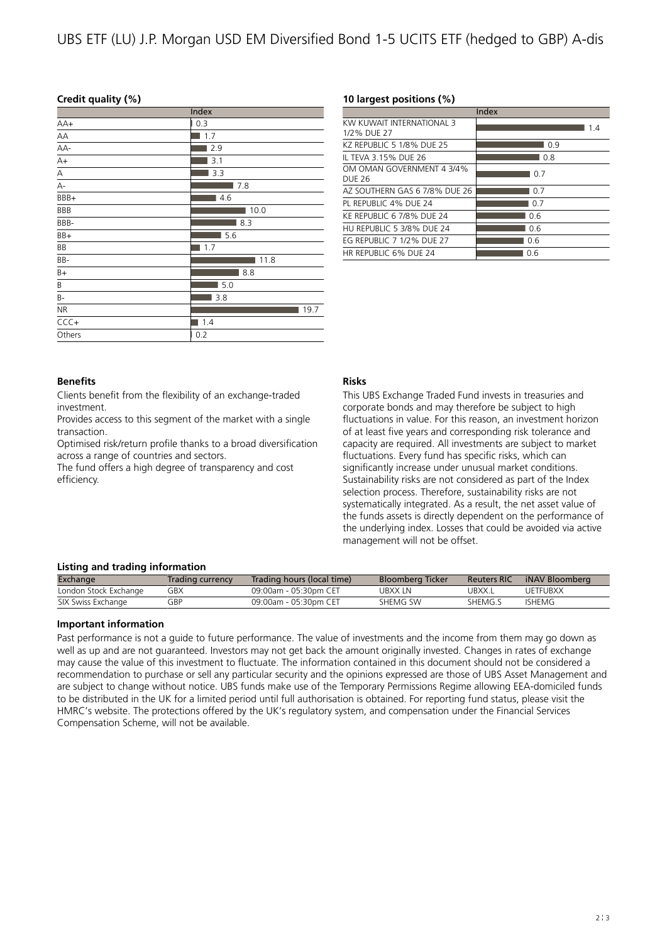# UBS ETF (LU) J.P. Morgan USD EM Diversified Bond 1-5 UCITS ETF (hedged to GBP) A-dis

# **Credit quality (%)**

| Index      |          |  |  |
|------------|----------|--|--|
| $AA+$      | 0.3<br>Г |  |  |
| AA         | 1.7      |  |  |
| AA-        | 2.9      |  |  |
| $A+$       | 3.1      |  |  |
| Α          | 3.3      |  |  |
| А-         | 7.8      |  |  |
| BBB+       | 4.6      |  |  |
| <b>BBB</b> | 10.0     |  |  |
| BBB-       | 8.3      |  |  |
| BB+        | 5.6      |  |  |
| BB         | 1.7      |  |  |
| BB-        | 11.8     |  |  |
| $B+$       | 8.8      |  |  |
| Β          | 5.0      |  |  |
| B-         | 3.8      |  |  |
| <b>NR</b>  | 19.7     |  |  |
| $CCC +$    | 1.4      |  |  |
| Others     | 0.2      |  |  |
|            |          |  |  |

# **10 largest positions (%)**

|                                          | Index |
|------------------------------------------|-------|
| KW KUWAIT INTFRNATIONAL 3<br>1/2% DUE 27 | 1.4   |
| KZ REPUBLIC 5 1/8% DUE 25                | 0.9   |
| IL TEVA 3.15% DUE 26                     | 0.8   |
| OM OMAN GOVERNMENT 4 3/4%<br>DUF 26      | 0.7   |
| AZ SOUTHERN GAS 6 7/8% DUE 26            | 0.7   |
| PL REPUBLIC 4% DUE 24                    | 0.7   |
| KE REPUBLIC 6 7/8% DUE 24                | 0.6   |
| HU REPUBLIC 5 3/8% DUE 24                | 0.6   |
| EG REPUBLIC 7 1/2% DUE 27                | 0.6   |
| HR REPUBLIC 6% DUE 24                    | 0.6   |

# **Benefits**

Clients benefit from the flexibility of an exchange-traded investment.

Provides access to this segment of the market with a single transaction.

Optimised risk/return profile thanks to a broad diversification across a range of countries and sectors.

The fund offers a high degree of transparency and cost efficiency.

# **Risks**

This UBS Exchange Traded Fund invests in treasuries and corporate bonds and may therefore be subject to high fluctuations in value. For this reason, an investment horizon of at least five years and corresponding risk tolerance and capacity are required. All investments are subject to market fluctuations. Every fund has specific risks, which can significantly increase under unusual market conditions. Sustainability risks are not considered as part of the Index selection process. Therefore, sustainability risks are not systematically integrated. As a result, the net asset value of the funds assets is directly dependent on the performance of the underlying index. Losses that could be avoided via active management will not be offset.

# **Listing and trading information**

| Exchange              | Trading currency | Trading hours (local time) | <b>Bloomberg Ticker</b> | <b>Reuters RIC</b> | iNAV Bloomberg  |
|-----------------------|------------------|----------------------------|-------------------------|--------------------|-----------------|
| London Stock Exchange | GBX              | 09:00am - 05:30pm CET      | UBXXIN                  | JBXX.I             | <b>UFTFUBXX</b> |
| SIX Swiss Exchange    | GBP              | 09:00am - 05:30pm CET      | SHEMG SW                | SHFMG.S            | ISHEMG          |

# **Important information**

Past performance is not a guide to future performance. The value of investments and the income from them may go down as well as up and are not guaranteed. Investors may not get back the amount originally invested. Changes in rates of exchange may cause the value of this investment to fluctuate. The information contained in this document should not be considered a recommendation to purchase or sell any particular security and the opinions expressed are those of UBS Asset Management and are subject to change without notice. UBS funds make use of the Temporary Permissions Regime allowing EEA-domiciled funds to be distributed in the UK for a limited period until full authorisation is obtained. For reporting fund status, please visit the HMRC's website. The protections offered by the UK's regulatory system, and compensation under the Financial Services Compensation Scheme, will not be available.